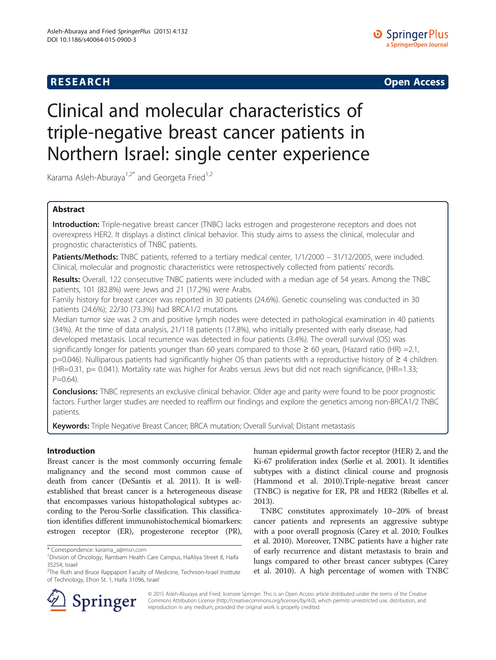**RESEARCH RESEARCH CONSUMING ACCESS** 

# Clinical and molecular characteristics of triple-negative breast cancer patients in Northern Israel: single center experience

Karama Asleh-Aburaya<sup>1,2\*</sup> and Georgeta Fried<sup>1,2</sup>

# Abstract

Introduction: Triple-negative breast cancer (TNBC) lacks estrogen and progesterone receptors and does not overexpress HER2. It displays a distinct clinical behavior. This study aims to assess the clinical, molecular and prognostic characteristics of TNBC patients.

Patients/Methods: TNBC patients, referred to a tertiary medical center, 1/1/2000 - 31/12/2005, were included. Clinical, molecular and prognostic characteristics were retrospectively collected from patients' records.

Results: Overall, 122 consecutive TNBC patients were included with a median age of 54 years. Among the TNBC patients, 101 (82.8%) were Jews and 21 (17.2%) were Arabs.

Family history for breast cancer was reported in 30 patients (24.6%). Genetic counseling was conducted in 30 patients (24.6%); 22/30 (73.3%) had BRCA1/2 mutations.

Median tumor size was 2 cm and positive lymph nodes were detected in pathological examination in 40 patients (34%). At the time of data analysis, 21/118 patients (17.8%), who initially presented with early disease, had developed metastasis. Local recurrence was detected in four patients (3.4%). The overall survival (OS) was significantly longer for patients younger than 60 years compared to those  $\geq$  60 years, (Hazard ratio (HR) = 2.1, p=0.046). Nulliparous patients had significantly higher OS than patients with a reproductive history of ≥ 4 children. (HR=0.31, p= 0.041). Mortality rate was higher for Arabs versus Jews but did not reach significance, (HR=1.33;  $P = 0.64$ ).

**Conclusions:** TNBC represents an exclusive clinical behavior. Older age and parity were found to be poor prognostic factors. Further larger studies are needed to reaffirm our findings and explore the genetics among non-BRCA1/2 TNBC patients.

Keywords: Triple Negative Breast Cancer; BRCA mutation; Overall Survival; Distant metastasis

# Introduction

Breast cancer is the most commonly occurring female malignancy and the second most common cause of death from cancer (DeSantis et al. [2011\)](#page-5-0). It is wellestablished that breast cancer is a heterogeneous disease that encompasses various histopathological subtypes according to the Perou-Sorlie classification. This classification identifies different immunohistochemical biomarkers: estrogen receptor (ER), progesterone receptor (PR),

human epidermal growth factor receptor (HER) 2, and the Ki-67 proliferation index (Sørlie et al. [2001](#page-6-0)). It identifies subtypes with a distinct clinical course and prognosis (Hammond et al. [2010](#page-6-0)).Triple-negative breast cancer (TNBC) is negative for ER, PR and HER2 (Ribelles et al. [2013\)](#page-6-0).

TNBC constitutes approximately 10–20% of breast cancer patients and represents an aggressive subtype with a poor overall prognosis (Carey et al. [2010;](#page-5-0) Foulkes et al. [2010](#page-5-0)). Moreover, TNBC patients have a higher rate of early recurrence and distant metastasis to brain and lungs compared to other breast cancer subtypes (Carey et al. [2010](#page-5-0)). A high percentage of women with TNBC



© 2015 Asleh-Aburaya and Fried; licensee Springer. This is an Open Access article distributed under the terms of the Creative Commons Attribution License (<http://creativecommons.org/licenses/by/4.0>), which permits unrestricted use, distribution, and reproduction in any medium, provided the original work is properly credited.

<sup>\*</sup> Correspondence: [karama\\_a@msn.com](mailto:karama_a@msn.com) <sup>1</sup>

Division of Oncology, Rambam Health Care Campus, HaAliya Street 8, Haifa 35254, Israel

<sup>&</sup>lt;sup>2</sup>The Ruth and Bruce Rappaport Faculty of Medicine, Technion-Israel Institute of Technology, Efron St. 1, Haifa 31096, Israel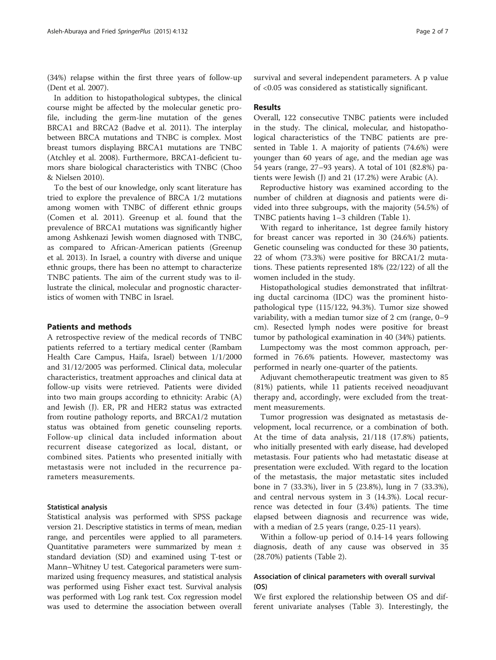(34%) relapse within the first three years of follow-up (Dent et al. [2007](#page-5-0)).

In addition to histopathological subtypes, the clinical course might be affected by the molecular genetic profile, including the germ-line mutation of the genes BRCA1 and BRCA2 (Badve et al. [2011](#page-5-0)). The interplay between BRCA mutations and TNBC is complex. Most breast tumors displaying BRCA1 mutations are TNBC (Atchley et al. [2008\)](#page-5-0). Furthermore, BRCA1-deficient tumors share biological characteristics with TNBC (Choo & Nielsen [2010\)](#page-5-0).

To the best of our knowledge, only scant literature has tried to explore the prevalence of BRCA 1/2 mutations among women with TNBC of different ethnic groups (Comen et al. [2011\)](#page-5-0). Greenup et al. found that the prevalence of BRCA1 mutations was significantly higher among Ashkenazi Jewish women diagnosed with TNBC, as compared to African-American patients (Greenup et al. [2013\)](#page-6-0). In Israel, a country with diverse and unique ethnic groups, there has been no attempt to characterize TNBC patients. The aim of the current study was to illustrate the clinical, molecular and prognostic characteristics of women with TNBC in Israel.

### Patients and methods

A retrospective review of the medical records of TNBC patients referred to a tertiary medical center (Rambam Health Care Campus, Haifa, Israel) between 1/1/2000 and 31/12/2005 was performed. Clinical data, molecular characteristics, treatment approaches and clinical data at follow-up visits were retrieved. Patients were divided into two main groups according to ethnicity: Arabic (A) and Jewish (J). ER, PR and HER2 status was extracted from routine pathology reports, and BRCA1/2 mutation status was obtained from genetic counseling reports. Follow-up clinical data included information about recurrent disease categorized as local, distant, or combined sites. Patients who presented initially with metastasis were not included in the recurrence parameters measurements.

#### Statistical analysis

Statistical analysis was performed with SPSS package version 21. Descriptive statistics in terms of mean, median range, and percentiles were applied to all parameters. Quantitative parameters were summarized by mean ± standard deviation (SD) and examined using T-test or Mann–Whitney U test. Categorical parameters were summarized using frequency measures, and statistical analysis was performed using Fisher exact test. Survival analysis was performed with Log rank test. Cox regression model was used to determine the association between overall

survival and several independent parameters. A p value of <0.05 was considered as statistically significant.

# Results

Overall, 122 consecutive TNBC patients were included in the study. The clinical, molecular, and histopathological characteristics of the TNBC patients are presented in Table [1](#page-2-0). A majority of patients (74.6%) were younger than 60 years of age, and the median age was 54 years (range, 27–93 years). A total of 101 (82.8%) patients were Jewish (J) and 21 (17.2%) were Arabic (A).

Reproductive history was examined according to the number of children at diagnosis and patients were divided into three subgroups, with the majority (54.5%) of TNBC patients having 1–3 children (Table [1\)](#page-2-0).

With regard to inheritance, 1st degree family history for breast cancer was reported in 30 (24.6%) patients. Genetic counseling was conducted for these 30 patients, 22 of whom (73.3%) were positive for BRCA1/2 mutations. These patients represented 18% (22/122) of all the women included in the study.

Histopathological studies demonstrated that infiltrating ductal carcinoma (IDC) was the prominent histopathological type (115/122, 94.3%). Tumor size showed variability, with a median tumor size of 2 cm (range, 0–9 cm). Resected lymph nodes were positive for breast tumor by pathological examination in 40 (34%) patients.

Lumpectomy was the most common approach, performed in 76.6% patients. However, mastectomy was performed in nearly one-quarter of the patients.

Adjuvant chemotherapeutic treatment was given to 85 (81%) patients, while 11 patients received neoadjuvant therapy and, accordingly, were excluded from the treatment measurements.

Tumor progression was designated as metastasis development, local recurrence, or a combination of both. At the time of data analysis, 21/118 (17.8%) patients, who initially presented with early disease, had developed metastasis. Four patients who had metastatic disease at presentation were excluded. With regard to the location of the metastasis, the major metastatic sites included bone in 7 (33.3%), liver in 5 (23.8%), lung in 7 (33.3%), and central nervous system in 3 (14.3%). Local recurrence was detected in four (3.4%) patients. The time elapsed between diagnosis and recurrence was wide, with a median of 2.5 years (range, 0.25-11 years).

Within a follow-up period of 0.14-14 years following diagnosis, death of any cause was observed in 35 (28.70%) patients (Table [2\)](#page-2-0).

# Association of clinical parameters with overall survival (OS)

We first explored the relationship between OS and different univariate analyses (Table [3\)](#page-3-0). Interestingly, the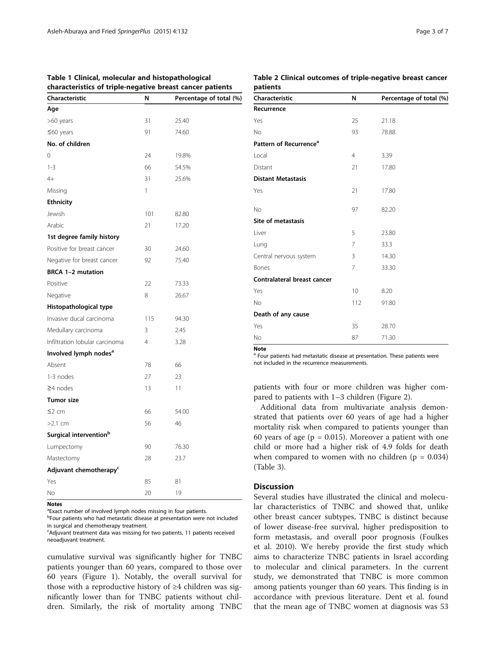| cnaracteristics of triple-negative breast cancer patients |              |                         |  |  |
|-----------------------------------------------------------|--------------|-------------------------|--|--|
| Characteristic                                            | N            | Percentage of total (%) |  |  |
| Age                                                       |              |                         |  |  |
| >60 years                                                 | 31           | 25.40                   |  |  |
| $\leq$ 60 years                                           | 91           | 74.60                   |  |  |
| No. of children                                           |              |                         |  |  |
| 0                                                         | 24           | 19.8%                   |  |  |
| $1 - 3$                                                   | 66           | 54.5%                   |  |  |
| $4+$                                                      | 31           | 25.6%                   |  |  |
| Missing                                                   | $\mathbf{1}$ |                         |  |  |
| <b>Ethnicity</b>                                          |              |                         |  |  |
| Jewish                                                    | 101          | 82.80                   |  |  |
| Arabic                                                    | 21           | 17.20                   |  |  |
| 1st degree family history                                 |              |                         |  |  |
| Positive for breast cancer                                | 30           | 24.60                   |  |  |
| Negative for breast cancer                                | 92           | 75.40                   |  |  |
| BRCA 1-2 mutation                                         |              |                         |  |  |
| Positive                                                  | 22           | 73.33                   |  |  |
| Negative                                                  | 8            | 26.67                   |  |  |
| Histopathological type                                    |              |                         |  |  |
| Invasive ducal carcinoma                                  | 115          | 94.30                   |  |  |
| Medullary carcinoma                                       | 3            | 2.45                    |  |  |
| Infiltration lobular carcinoma                            | 4            | 3.28                    |  |  |
| Involved lymph nodes <sup>a</sup>                         |              |                         |  |  |
| Absent                                                    | 78           | 66                      |  |  |
| 1-3 nodes                                                 | 27           | 23                      |  |  |
| $\geq$ 4 nodes                                            | 13           | 11                      |  |  |
| <b>Tumor size</b>                                         |              |                         |  |  |
| $\leq$ 2 cm                                               | 66           | 54.00                   |  |  |
| $>2.1$ cm                                                 | 56           | 46                      |  |  |
| Surgical intervention <sup>b</sup>                        |              |                         |  |  |
| Lumpectomy                                                | 90           | 76.30                   |  |  |
| Mastectomy                                                | 28           | 23.7                    |  |  |
| Adjuvant chemotherapy <sup>c</sup>                        |              |                         |  |  |
| Yes                                                       | 85           | 81                      |  |  |
| Νo                                                        | 20           | 19                      |  |  |
|                                                           |              |                         |  |  |

# <span id="page-2-0"></span>Table 1 Clinical, molecular and histopathological characteristics of triple-negative breast cancer patients

# Table 2 Clinical outcomes of triple-negative breast cancer patients Characteristic N Percentage of total (%)

Yes 25 21.18 No 93 78.88 Pattern of Recurrence<sup>®</sup> Local 4 3.39 Distant 21 17.80 Distant Metastasis Yes 21 17.80 No 97 82.20 Site of metastasis Liver 5 23.80 Lung 233.3 Central nervous system 3 14.30 **Bones** 7 33.30 Contralateral breast cancer Yes 20 10 8.20 No 112 91.80 Death of any cause Yes 35 28.70 No 87 71.30

Note

Recurrence

<sup>a</sup> Four patients had metastatic disease at presentation. These patients were not included in the recurrence measurements.

patients with four or more children was higher compared to patients with 1–3 children (Figure [2\)](#page-4-0).

Additional data from multivariate analysis demonstrated that patients over 60 years of age had a higher mortality risk when compared to patients younger than 60 years of age ( $p = 0.015$ ). Moreover a patient with one child or more had a higher risk of 4.9 folds for death when compared to women with no children ( $p = 0.034$ ) (Table [3\)](#page-3-0).

# **Discussion**

Several studies have illustrated the clinical and molecular characteristics of TNBC and showed that, unlike other breast cancer subtypes, TNBC is distinct because of lower disease-free survival, higher predisposition to form metastasis, and overall poor prognosis (Foulkes et al. [2010\)](#page-5-0). We hereby provide the first study which aims to characterize TNBC patients in Israel according to molecular and clinical parameters. In the current study, we demonstrated that TNBC is more common among patients younger than 60 years. This finding is in accordance with previous literature. Dent et al. found that the mean age of TNBC women at diagnosis was 53

#### Notes

<sup>a</sup>Exact number of involved lymph nodes missing in four patients.

<sup>b</sup>Four patients who had metastatic disease at presentation were not included in surgical and chemotherapy treatment.

<sup>c</sup>Adjuvant treatment data was missing for two patients, 11 patients received neoadjuvant treatment.

cumulative survival was significantly higher for TNBC patients younger than 60 years, compared to those over 60 years (Figure [1](#page-4-0)). Notably, the overall survival for those with a reproductive history of  $\geq 4$  children was significantly lower than for TNBC patients without children. Similarly, the risk of mortality among TNBC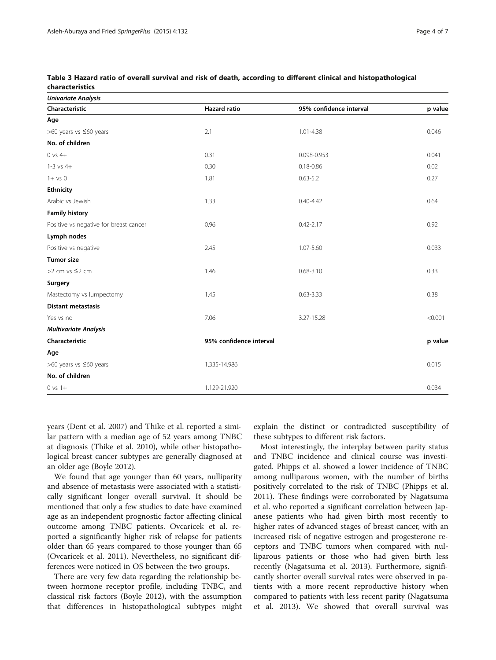| Univariate Analysis                    |                         |                         |         |  |
|----------------------------------------|-------------------------|-------------------------|---------|--|
| Characteristic                         | <b>Hazard ratio</b>     | 95% confidence interval | p value |  |
| Age                                    |                         |                         |         |  |
| >60 years vs ≤60 years                 | 2.1                     | 1.01-4.38               | 0.046   |  |
| No. of children                        |                         |                         |         |  |
| $0$ vs $4+$                            | 0.31                    | 0.098-0.953             | 0.041   |  |
| $1-3$ vs $4+$                          | 0.30                    | $0.18 - 0.86$           | 0.02    |  |
| $1 + vs 0$                             | 1.81                    | $0.63 - 5.2$            | 0.27    |  |
| Ethnicity                              |                         |                         |         |  |
| Arabic vs Jewish                       | 1.33                    | $0.40 - 4.42$           | 0.64    |  |
| <b>Family history</b>                  |                         |                         |         |  |
| Positive vs negative for breast cancer | 0.96                    | $0.42 - 2.17$           | 0.92    |  |
| Lymph nodes                            |                         |                         |         |  |
| Positive vs negative                   | 2.45                    | 1.07-5.60               | 0.033   |  |
| <b>Tumor size</b>                      |                         |                         |         |  |
| >2 cm vs ≤2 cm                         | 1.46                    | $0.68 - 3.10$           | 0.33    |  |
| Surgery                                |                         |                         |         |  |
| Mastectomy vs lumpectomy               | 1.45                    | $0.63 - 3.33$           | 0.38    |  |
| <b>Distant metastasis</b>              |                         |                         |         |  |
| Yes vs no                              | 7.06                    | 3.27-15.28              | < 0.001 |  |
| <b>Multivariate Analysis</b>           |                         |                         |         |  |
| Characteristic                         | 95% confidence interval |                         | p value |  |
| Age                                    |                         |                         |         |  |
| >60 years vs ≤60 years                 | 1.335-14.986            |                         | 0.015   |  |
| No. of children                        |                         |                         |         |  |
| $0 vs 1+$                              | 1.129-21.920            |                         | 0.034   |  |
|                                        |                         |                         |         |  |

<span id="page-3-0"></span>Table 3 Hazard ratio of overall survival and risk of death, according to different clinical and histopathological characteristics

years (Dent et al. [2007\)](#page-5-0) and Thike et al. reported a similar pattern with a median age of 52 years among TNBC at diagnosis (Thike et al. [2010\)](#page-6-0), while other histopathological breast cancer subtypes are generally diagnosed at an older age (Boyle [2012\)](#page-5-0).

We found that age younger than 60 years, nulliparity and absence of metastasis were associated with a statistically significant longer overall survival. It should be mentioned that only a few studies to date have examined age as an independent prognostic factor affecting clinical outcome among TNBC patients. Ovcaricek et al. reported a significantly higher risk of relapse for patients older than 65 years compared to those younger than 65 (Ovcaricek et al. [2011\)](#page-6-0). Nevertheless, no significant differences were noticed in OS between the two groups.

There are very few data regarding the relationship between hormone receptor profile, including TNBC, and classical risk factors (Boyle [2012](#page-5-0)), with the assumption that differences in histopathological subtypes might explain the distinct or contradicted susceptibility of these subtypes to different risk factors.

Most interestingly, the interplay between parity status and TNBC incidence and clinical course was investigated. Phipps et al. showed a lower incidence of TNBC among nulliparous women, with the number of births positively correlated to the risk of TNBC (Phipps et al. [2011](#page-6-0)). These findings were corroborated by Nagatsuma et al. who reported a significant correlation between Japanese patients who had given birth most recently to higher rates of advanced stages of breast cancer, with an increased risk of negative estrogen and progesterone receptors and TNBC tumors when compared with nulliparous patients or those who had given birth less recently (Nagatsuma et al. [2013\)](#page-6-0). Furthermore, significantly shorter overall survival rates were observed in patients with a more recent reproductive history when compared to patients with less recent parity (Nagatsuma et al. [2013](#page-6-0)). We showed that overall survival was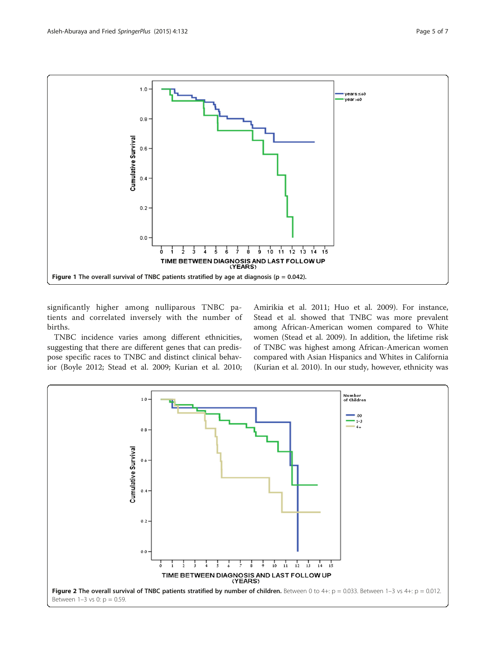<span id="page-4-0"></span>

significantly higher among nulliparous TNBC patients and correlated inversely with the number of births.

TNBC incidence varies among different ethnicities, suggesting that there are different genes that can predispose specific races to TNBC and distinct clinical behavior (Boyle [2012;](#page-5-0) Stead et al. [2009;](#page-6-0) Kurian et al. [2010](#page-6-0);

Amirikia et al. [2011;](#page-5-0) Huo et al. [2009](#page-6-0)). For instance, Stead et al. showed that TNBC was more prevalent among African-American women compared to White women (Stead et al. [2009](#page-6-0)). In addition, the lifetime risk of TNBC was highest among African-American women compared with Asian Hispanics and Whites in California (Kurian et al. [2010](#page-6-0)). In our study, however, ethnicity was

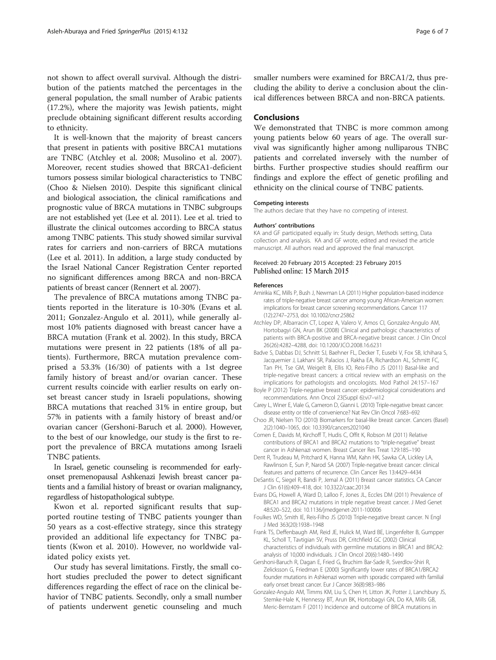<span id="page-5-0"></span>not shown to affect overall survival. Although the distribution of the patients matched the percentages in the general population, the small number of Arabic patients (17.2%), where the majority was Jewish patients, might preclude obtaining significant different results according to ethnicity.

It is well-known that the majority of breast cancers that present in patients with positive BRCA1 mutations are TNBC (Atchley et al. 2008; Musolino et al. [2007](#page-6-0)). Moreover, recent studies showed that BRCA1-deficient tumors possess similar biological characteristics to TNBC (Choo & Nielsen 2010). Despite this significant clinical and biological association, the clinical ramifications and prognostic value of BRCA mutations in TNBC subgroups are not established yet (Lee et al. [2011\)](#page-6-0). Lee et al. tried to illustrate the clinical outcomes according to BRCA status among TNBC patients. This study showed similar survival rates for carriers and non-carriers of BRCA mutations (Lee et al. [2011](#page-6-0)). In addition, a large study conducted by the Israel National Cancer Registration Center reported no significant differences among BRCA and non-BRCA patients of breast cancer (Rennert et al. [2007\)](#page-6-0).

The prevalence of BRCA mutations among TNBC patients reported in the literature is 10-30% (Evans et al. 2011; Gonzalez-Angulo et al. 2011), while generally almost 10% patients diagnosed with breast cancer have a BRCA mutation (Frank et al. 2002). In this study, BRCA mutations were present in 22 patients (18% of all patients). Furthermore, BRCA mutation prevalence comprised a 53.3% (16/30) of patients with a 1st degree family history of breast and/or ovarian cancer. These current results coincide with earlier results on early onset breast cancer study in Israeli populations, showing BRCA mutations that reached 31% in entire group, but 57% in patients with a family history of breast and/or ovarian cancer (Gershoni-Baruch et al. 2000). However, to the best of our knowledge, our study is the first to report the prevalence of BRCA mutations among Israeli TNBC patients.

In Israel, genetic counseling is recommended for earlyonset premenopausal Ashkenazi Jewish breast cancer patients and a familial history of breast or ovarian malignancy, regardless of histopathological subtype.

Kwon et al. reported significant results that supported routine testing of TNBC patients younger than 50 years as a cost-effective strategy, since this strategy provided an additional life expectancy for TNBC patients (Kwon et al. [2010\)](#page-6-0). However, no worldwide validated policy exists yet.

Our study has several limitations. Firstly, the small cohort studies precluded the power to detect significant differences regarding the effect of race on the clinical behavior of TNBC patients. Secondly, only a small number of patients underwent genetic counseling and much

smaller numbers were examined for BRCA1/2, thus precluding the ability to derive a conclusion about the clinical differences between BRCA and non-BRCA patients.

# Conclusions

We demonstrated that TNBC is more common among young patients below 60 years of age. The overall survival was significantly higher among nulliparous TNBC patients and correlated inversely with the number of births. Further prospective studies should reaffirm our findings and explore the effect of genetic profiling and ethnicity on the clinical course of TNBC patients.

#### Competing interests

The authors declare that they have no competing of interest.

#### Authors' contributions

KA and GF participated equally in: Study design, Methods setting, Data collection and analysis. KA and GF wrote, edited and revised the article manuscript. All authors read and approved the final manuscript.

## Received: 20 February 2015 Accepted: 23 February 2015 Published online: 15 March 2015

#### References

- Amirikia KC, Mills P, Bush J, Newman LA (2011) Higher population-based incidence rates of triple-negative breast cancer among young African-American women: implications for breast cancer screening recommendations. Cancer 117 (12):2747–2753, doi: 10.1002/cncr.25862
- Atchley DP, Albarracin CT, Lopez A, Valero V, Amos CI, Gonzalez-Angulo AM, Hortobagyi GN, Arun BK (2008) Clinical and pathologic characteristics of patients with BRCA-positive and BRCA-negative breast cancer. J Clin Oncol 26(26):4282–4288, doi: 10.1200/JCO.2008.16.6231
- Badve S, Dabbas DJ, Schnitt SJ, Baehner FL, Decker T, Eusebi V, Fox SB, Ichihara S, Jacquemier J, Lakhani SR, Palacios J, Rakha EA, Richardson AL, Schmitt FC, Tan PH, Tse GM, Weigelt B, Ellis IO, Reis-Filho JS (2011) Basal-like and triple-negative breast cancers: a critical review with an emphasis on the implications for pathologists and oncologists. Mod Pathol 24:157–167
- Boyle P (2012) Triple-negative breast cancer: epidemiological considerations and recommendations. Ann Oncol 23(Suppl 6):vi7–vi12
- Carey L, Winer E, Viale G, Cameron D, Gianni L (2010) Triple-negative breast cancer: disease entity or title of convenience? Nat Rev Clin Oncol 7:683–692
- Choo JR, Nielsen TO (2010) Biomarkers for basal-like breast cancer. Cancers (Basel) 2(2):1040–1065, doi: 10.3390/cancers2021040
- Comen E, Davids M, Kirchoff T, Hudis C, Offit K, Robson M (2011) Relative contributions of BRCA1 and BRCA2 mutations to "triple-negative" breast cancer in Ashkenazi women. Breast Cancer Res Treat 129:185–190
- Dent R, Trudeau M, Pritchard K, Hanna WM, Kahn HK, Sawka CA, Lickley LA, Rawlinson E, Sun P, Narod SA (2007) Triple-negative breast cancer: clinical features and patterns of recurrence. Clin Cancer Res 13:4429–4434
- DeSantis C, Siegel R, Bandi P, Jemal A (2011) Breast cancer statistics. CA Cancer J Clin 61(6):409–418, doi: 10.3322/caac.20134
- Evans DG, Howell A, Ward D, Lalloo F, Jones JL, Eccles DM (2011) Prevalence of BRCA1 and BRCA2 mutations in triple negative breast cancer. J Med Genet 48:520–522, doi: 10.1136/jmedgenet-2011-100006
- Foulkes WD, Smith IE, Reis-Filho JS (2010) Triple-negative breast cancer. N Engl J Med 363(20):1938–1948
- Frank TS, Deffenbaugh AM, Reid JE, Hulick M, Ward BE, Lingenfelter B, Gumpper KL, Scholl T, Tavtigian SV, Pruss DR, Critchfield GC (2002) Clinical characteristics of individuals with germline mutations in BRCA1 and BRCA2: analysis of 10,000 individuals. J Clin Oncol 20(6):1480–1490
- Gershoni-Baruch R, Dagan E, Fried G, Bruchim Bar-Sade R, Sverdlov-Shiri R, Zelicksson G, Friedman E (2000) Significantly lower rates of BRCA1/BRCA2 founder mutations in Ashkenazi women with sporadic compared with familial early onset breast cancer. Eur J Cancer 36(8):983–986
- Gonzalez-Angulo AM, Timms KM, Liu S, Chen H, Litton JK, Potter J, Lanchbury JS, Stemke-Hale K, Hennessy BT, Arun BK, Hortobagyi GN, Do KA, Mills GB, Meric-Bernstam F (2011) Incidence and outcome of BRCA mutations in